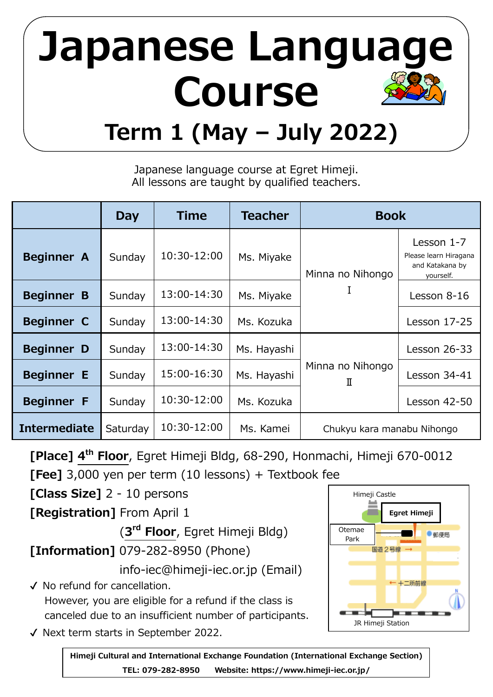## **Japanese Languag Course Term 1 (May – July 2022)**

Japanese language course at Egret Himeji. All lessons are taught by qualified teachers.

|                     | Day      | <b>Time</b> | <b>Teacher</b> | <b>Book</b>                |                                                                     |  |  |
|---------------------|----------|-------------|----------------|----------------------------|---------------------------------------------------------------------|--|--|
| <b>Beginner A</b>   | Sunday   | 10:30-12:00 | Ms. Miyake     | Minna no Nihongo           | Lesson 1-7<br>Please learn Hiragana<br>and Katakana by<br>yourself. |  |  |
| <b>Beginner B</b>   | Sunday   | 13:00-14:30 | Ms. Miyake     | I                          | Lesson 8-16                                                         |  |  |
| <b>Beginner C</b>   | Sunday   | 13:00-14:30 | Ms. Kozuka     |                            | <b>Lesson 17-25</b>                                                 |  |  |
| <b>Beginner D</b>   | Sunday   | 13:00-14:30 | Ms. Hayashi    |                            | <b>Lesson 26-33</b>                                                 |  |  |
| <b>Beginner E</b>   | Sunday   | 15:00-16:30 | Ms. Hayashi    | Minna no Nihongo<br>Π      | Lesson 34-41                                                        |  |  |
| <b>Beginner F</b>   | Sunday   | 10:30-12:00 | Ms. Kozuka     |                            | <b>Lesson 42-50</b>                                                 |  |  |
| <b>Intermediate</b> | Saturday | 10:30-12:00 | Ms. Kamei      | Chukyu kara manabu Nihongo |                                                                     |  |  |

**[Place] 4 th Floor**, Egret Himeji Bldg, 68-290, Honmachi, Himeji 670-0012 **[Fee]** 3,000 yen per term (10 lessons) + Textbook fee

**[Class Size]** 2 - 10 persons

**[Registration]** From April 1

(**3 rd Floor**, Egret Himeji Bldg)

**[Information]** 079-282-8950 (Phone)

info-iec@himeji-iec.or.jp (Email)

✔ No refund for cancellation. However, you are eligible for a refund if the class is canceled due to an insufficient number of participants.

✔ Next term starts in September 2022.

**Himeji Cultural and International Exchange Foundation (International Exchange Section) TEL: 079-282-8950 Website: https://www.himeji-iec.or.jp/**